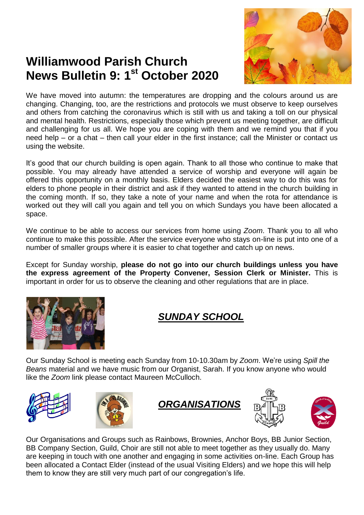

# **Williamwood Parish Church News Bulletin 9: 1 st October 2020**

We have moved into autumn: the temperatures are dropping and the colours around us are changing. Changing, too, are the restrictions and protocols we must observe to keep ourselves and others from catching the coronavirus which is still with us and taking a toll on our physical and mental health. Restrictions, especially those which prevent us meeting together, are difficult and challenging for us all. We hope you are coping with them and we remind you that if you need help – or a chat – then call your elder in the first instance; call the Minister or contact us using the website.

It's good that our church building is open again. Thank to all those who continue to make that possible. You may already have attended a service of worship and everyone will again be offered this opportunity on a monthly basis. Elders decided the easiest way to do this was for elders to phone people in their district and ask if they wanted to attend in the church building in the coming month. If so, they take a note of your name and when the rota for attendance is worked out they will call you again and tell you on which Sundays you have been allocated a space.

We continue to be able to access our services from home using *Zoom*. Thank you to all who continue to make this possible. After the service everyone who stays on-line is put into one of a number of smaller groups where it is easier to chat together and catch up on news.

Except for Sunday worship, **please do not go into our church buildings unless you have the express agreement of the Property Convener, Session Clerk or Minister.** This is important in order for us to observe the cleaning and other regulations that are in place.



### *SUNDAY SCHOOL*

Our Sunday School is meeting each Sunday from 10-10.30am by *Zoom*. We're using *Spill the Beans* material and we have music from our Organist, Sarah. If you know anyone who would like the *Zoom* link please contact Maureen McCulloch.











Our Organisations and Groups such as Rainbows, Brownies, Anchor Boys, BB Junior Section, BB Company Section, Guild, Choir are still not able to meet together as they usually do. Many are keeping in touch with one another and engaging in some activities on-line. Each Group has been allocated a Contact Elder (instead of the usual Visiting Elders) and we hope this will help them to know they are still very much part of our congregation's life.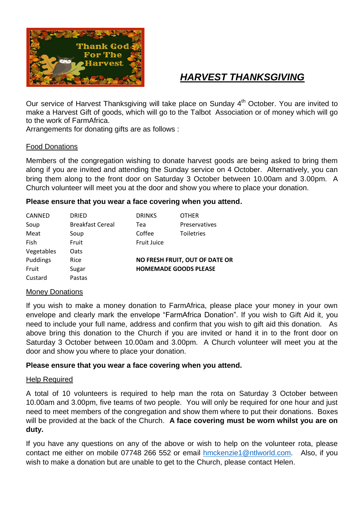

### *HARVEST THANKSGIVING*

Our service of Harvest Thanksgiving will take place on Sunday 4<sup>th</sup> October. You are invited to make a Harvest Gift of goods, which will go to the Talbot Association or of money which will go to the work of FarmAfrica.

Arrangements for donating gifts are as follows :

#### Food Donations

Members of the congregation wishing to donate harvest goods are being asked to bring them along if you are invited and attending the Sunday service on 4 October. Alternatively, you can bring them along to the front door on Saturday 3 October between 10.00am and 3.00pm. A Church volunteer will meet you at the door and show you where to place your donation.

#### **Please ensure that you wear a face covering when you attend.**

| CANNED     | <b>DRIED</b>            | <b>DRINKS</b>                | <b>OTHER</b>                          |
|------------|-------------------------|------------------------------|---------------------------------------|
| Soup       | <b>Breakfast Cereal</b> | Tea                          | Preservatives                         |
| Meat       | Soup                    | Coffee                       | Toiletries                            |
| Fish       | Fruit                   | <b>Fruit Juice</b>           |                                       |
| Vegetables | Oats                    |                              |                                       |
| Puddings   | Rice                    |                              | <b>NO FRESH FRUIT, OUT OF DATE OR</b> |
| Fruit      | Sugar                   | <b>HOMEMADE GOODS PLEASE</b> |                                       |
| Custard    | Pastas                  |                              |                                       |

#### Money Donations

If you wish to make a money donation to FarmAfrica, please place your money in your own envelope and clearly mark the envelope "FarmAfrica Donation". If you wish to Gift Aid it, you need to include your full name, address and confirm that you wish to gift aid this donation. As above bring this donation to the Church if you are invited or hand it in to the front door on Saturday 3 October between 10.00am and 3.00pm. A Church volunteer will meet you at the door and show you where to place your donation.

#### **Please ensure that you wear a face covering when you attend.**

#### Help Required

A total of 10 volunteers is required to help man the rota on Saturday 3 October between 10.00am and 3.00pm, five teams of two people. You will only be required for one hour and just need to meet members of the congregation and show them where to put their donations. Boxes will be provided at the back of the Church. **A face covering must be worn whilst you are on duty.**

If you have any questions on any of the above or wish to help on the volunteer rota, please contact me either on mobile 07748 266 552 or email [hmckenzie1@ntlworld.com.](mailto:hmckenzie1@ntlworld.com) Also, if you wish to make a donation but are unable to get to the Church, please contact Helen.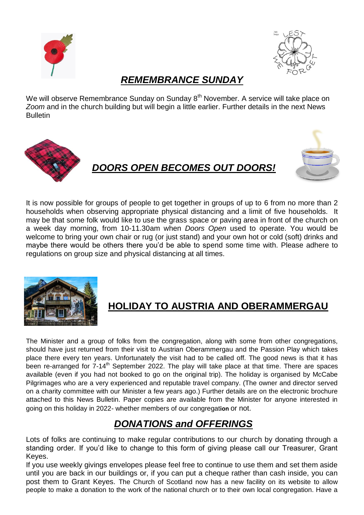



### *REMEMBRANCE SUNDAY*

We will observe Remembrance Sunday on Sunday 8<sup>th</sup> November. A service will take place on *Zoom* and in the church building but will begin a little earlier. Further details in the next News Bulletin



### *DOORS OPEN BECOMES OUT DOORS!*



It is now possible for groups of people to get together in groups of up to 6 from no more than 2 households when observing appropriate physical distancing and a limit of five households. It may be that some folk would like to use the grass space or paving area in front of the church on a week day morning, from 10-11.30am when *Doors Open* used to operate. You would be welcome to bring your own chair or rug (or just stand) and your own hot or cold (soft) drinks and maybe there would be others there you'd be able to spend some time with. Please adhere to regulations on group size and physical distancing at all times.



## **HOLIDAY TO AUSTRIA AND OBERAMMERGAU**

The Minister and a group of folks from the congregation, along with some from other congregations, should have just returned from their visit to Austrian Oberammergau and the Passion Play which takes place there every ten years. Unfortunately the visit had to be called off. The good news is that it has been re-arranged for 7-14<sup>th</sup> September 2022. The play will take place at that time. There are spaces available (even if you had not booked to go on the original trip). The holiday is organised by McCabe Pilgrimages who are a very experienced and reputable travel company. (The owner and director served on a charity committee with our Minister a few years ago.) Further details are on the electronic brochure attached to this News Bulletin. Paper copies are available from the Minister for anyone interested in going on this holiday in 2022- whether members of our congregat**ion** or not.

### *DONATIONS and OFFERINGS*

Lots of folks are continuing to make regular contributions to our church by donating through a standing order. If you'd like to change to this form of giving please call our Treasurer, Grant Keyes.

If you use weekly givings envelopes please feel free to continue to use them and set them aside until you are back in our buildings or, if you can put a cheque rather than cash inside, you can post them to Grant Keyes. The Church of Scotland now has a new facility on its website to allow people to make a donation to the work of the national church or to their own local congregation. Have a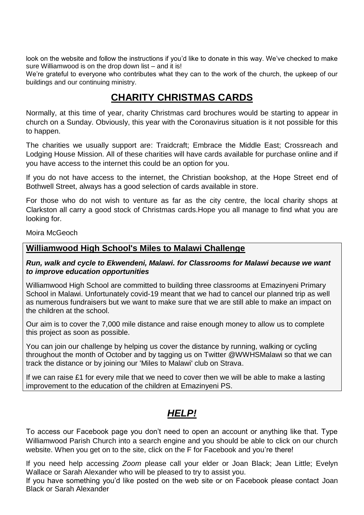look on the website and follow the instructions if you'd like to donate in this way. We've checked to make sure Williamwood is on the drop down list – and it is!

We're grateful to everyone who contributes what they can to the work of the church, the upkeep of our buildings and our continuing ministry.

### **CHARITY CHRISTMAS CARDS**

Normally, at this time of year, charity Christmas card brochures would be starting to appear in church on a Sunday. Obviously, this year with the Coronavirus situation is it not possible for this to happen.

The charities we usually support are: Traidcraft; Embrace the Middle East; Crossreach and Lodging House Mission. All of these charities will have cards available for purchase online and if you have access to the internet this could be an option for you.

If you do not have access to the internet, the Christian bookshop, at the Hope Street end of Bothwell Street, always has a good selection of cards available in store.

For those who do not wish to venture as far as the city centre, the local charity shops at Clarkston all carry a good stock of Christmas cards.Hope you all manage to find what you are looking for.

Moira McGeoch

#### **Williamwood High School's Miles to Malawi Challenge**

#### *Run, walk and cycle to Ekwendeni, Malawi. for Classrooms for Malawi because we want to improve education opportunities*

Williamwood High School are committed to building three classrooms at Emazinyeni Primary School in Malawi. Unfortunately covid-19 meant that we had to cancel our planned trip as well as numerous fundraisers but we want to make sure that we are still able to make an impact on the children at the school.

Our aim is to cover the 7,000 mile distance and raise enough money to allow us to complete this project as soon as possible.

You can join our challenge by helping us cover the distance by running, walking or cycling throughout the month of October and by tagging us on Twitter @WWHSMalawi so that we can track the distance or by joining our 'Miles to Malawi' club on Strava.

If we can raise £1 for every mile that we need to cover then we will be able to make a lasting improvement to the education of the children at Emazinyeni PS.

## *HELP!*

To access our Facebook page you don't need to open an account or anything like that. Type Williamwood Parish Church into a search engine and you should be able to click on our church website. When you get on to the site, click on the F for Facebook and you're there!

If you need help accessing *Zoom* please call your elder or Joan Black; Jean Little; Evelyn Wallace or Sarah Alexander who will be pleased to try to assist you.

If you have something you'd like posted on the web site or on Facebook please contact Joan Black or Sarah Alexander